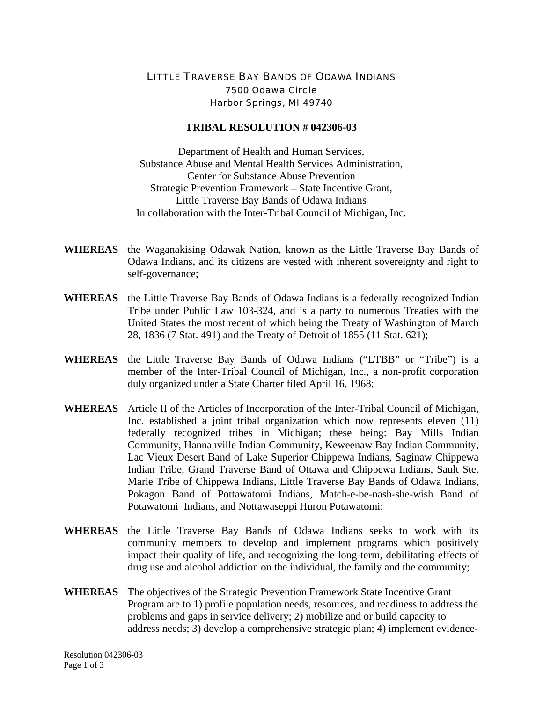## LITTLE TRAVERSE BAY BANDS OF ODAWA INDIANS 7500 Odawa Circle Harbor Springs, MI 49740

## **TRIBAL RESOLUTION # 042306-03**

Department of Health and Human Services, Substance Abuse and Mental Health Services Administration, Center for Substance Abuse Prevention Strategic Prevention Framework – State Incentive Grant, Little Traverse Bay Bands of Odawa Indians In collaboration with the Inter-Tribal Council of Michigan, Inc.

- **WHEREAS** the Waganakising Odawak Nation, known as the Little Traverse Bay Bands of Odawa Indians, and its citizens are vested with inherent sovereignty and right to self-governance;
- **WHEREAS** the Little Traverse Bay Bands of Odawa Indians is a federally recognized Indian Tribe under Public Law 103-324, and is a party to numerous Treaties with the United States the most recent of which being the Treaty of Washington of March 28, 1836 (7 Stat. 491) and the Treaty of Detroit of 1855 (11 Stat. 621);
- **WHEREAS** the Little Traverse Bay Bands of Odawa Indians ("LTBB" or "Tribe") is a member of the Inter-Tribal Council of Michigan, Inc., a non-profit corporation duly organized under a State Charter filed April 16, 1968;
- **WHEREAS** Article II of the Articles of Incorporation of the Inter-Tribal Council of Michigan, Inc. established a joint tribal organization which now represents eleven (11) federally recognized tribes in Michigan; these being: Bay Mills Indian Community, Hannahville Indian Community, Keweenaw Bay Indian Community, Lac Vieux Desert Band of Lake Superior Chippewa Indians, Saginaw Chippewa Indian Tribe, Grand Traverse Band of Ottawa and Chippewa Indians, Sault Ste. Marie Tribe of Chippewa Indians, Little Traverse Bay Bands of Odawa Indians, Pokagon Band of Pottawatomi Indians, Match-e-be-nash-she-wish Band of Potawatomi Indians, and Nottawaseppi Huron Potawatomi;
- **WHEREAS** the Little Traverse Bay Bands of Odawa Indians seeks to work with its community members to develop and implement programs which positively impact their quality of life, and recognizing the long-term, debilitating effects of drug use and alcohol addiction on the individual, the family and the community;
- **WHEREAS** The objectives of the Strategic Prevention Framework State Incentive Grant Program are to 1) profile population needs, resources, and readiness to address the problems and gaps in service delivery; 2) mobilize and or build capacity to address needs; 3) develop a comprehensive strategic plan; 4) implement evidence-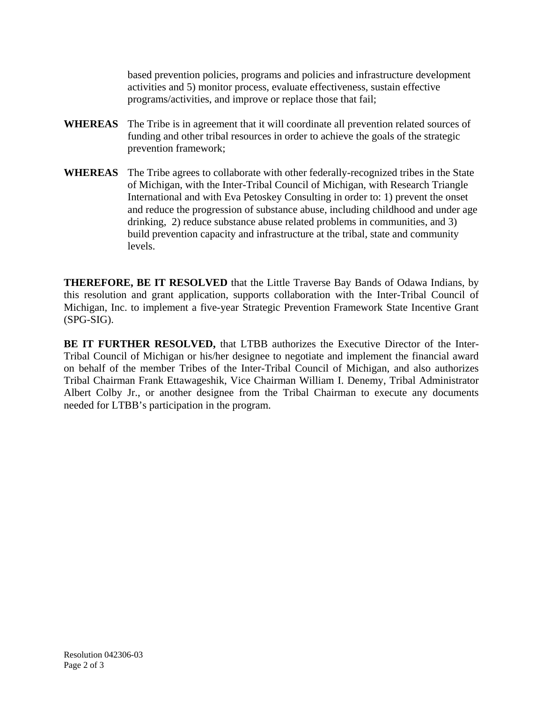based prevention policies, programs and policies and infrastructure development activities and 5) monitor process, evaluate effectiveness, sustain effective programs/activities, and improve or replace those that fail;

- **WHEREAS** The Tribe is in agreement that it will coordinate all prevention related sources of funding and other tribal resources in order to achieve the goals of the strategic prevention framework;
- **WHEREAS** The Tribe agrees to collaborate with other federally-recognized tribes in the State of Michigan, with the Inter-Tribal Council of Michigan, with Research Triangle International and with Eva Petoskey Consulting in order to: 1) prevent the onset and reduce the progression of substance abuse, including childhood and under age drinking, 2) reduce substance abuse related problems in communities, and 3) build prevention capacity and infrastructure at the tribal, state and community levels.

**THEREFORE, BE IT RESOLVED** that the Little Traverse Bay Bands of Odawa Indians, by this resolution and grant application, supports collaboration with the Inter-Tribal Council of Michigan, Inc. to implement a five-year Strategic Prevention Framework State Incentive Grant (SPG-SIG).

**BE IT FURTHER RESOLVED,** that LTBB authorizes the Executive Director of the Inter-Tribal Council of Michigan or his/her designee to negotiate and implement the financial award on behalf of the member Tribes of the Inter-Tribal Council of Michigan, and also authorizes Tribal Chairman Frank Ettawageshik, Vice Chairman William I. Denemy, Tribal Administrator Albert Colby Jr., or another designee from the Tribal Chairman to execute any documents needed for LTBB's participation in the program.